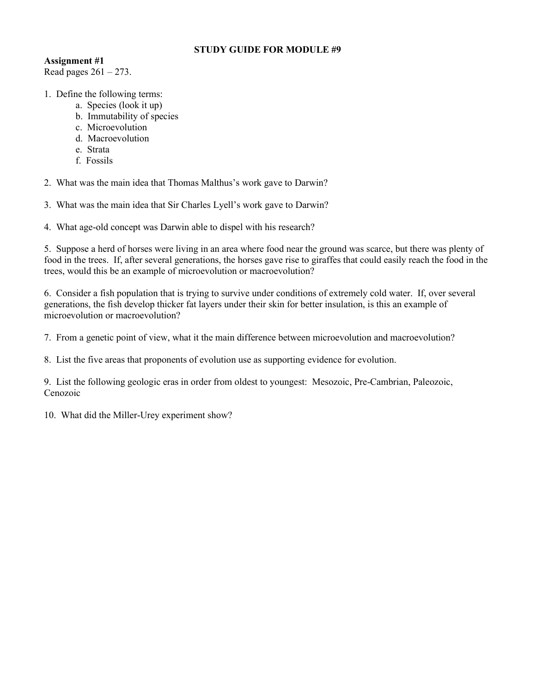## STUDY GUIDE FOR MODULE #9

## Assignment #1

Read pages  $261 - 273$ .

- 1. Define the following terms:
	- a. Species (look it up)
	- b. Immutability of species
	- c. Microevolution
	- d. Macroevolution
	- e. Strata
	- f. Fossils

2. What was the main idea that Thomas Malthus's work gave to Darwin?

3. What was the main idea that Sir Charles Lyell's work gave to Darwin?

4. What age-old concept was Darwin able to dispel with his research?

5. Suppose a herd of horses were living in an area where food near the ground was scarce, but there was plenty of food in the trees. If, after several generations, the horses gave rise to giraffes that could easily reach the food in the trees, would this be an example of microevolution or macroevolution?

6. Consider a fish population that is trying to survive under conditions of extremely cold water. If, over several generations, the fish develop thicker fat layers under their skin for better insulation, is this an example of microevolution or macroevolution?

7. From a genetic point of view, what it the main difference between microevolution and macroevolution?

8. List the five areas that proponents of evolution use as supporting evidence for evolution.

9. List the following geologic eras in order from oldest to youngest: Mesozoic, Pre-Cambrian, Paleozoic, Cenozoic

10. What did the Miller-Urey experiment show?